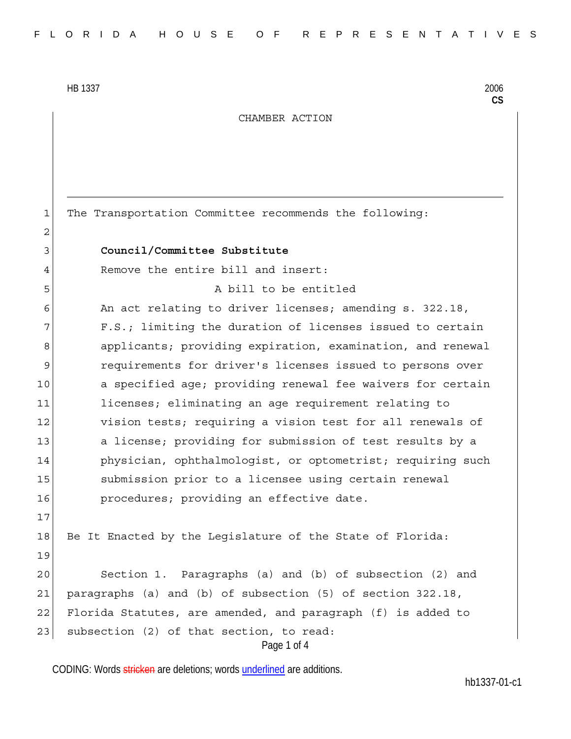CHAMBER ACTION

Page 1 of 4 1 The Transportation Committee recommends the following: 2 3 **Council/Committee Substitute**  4 Remove the entire bill and insert: 5 A bill to be entitled 6 An act relating to driver licenses; amending s. 322.18, 7 F.S.; limiting the duration of licenses issued to certain 8 applicants; providing expiration, examination, and renewal 9 requirements for driver's licenses issued to persons over 10 a specified age; providing renewal fee waivers for certain 11 licenses; eliminating an age requirement relating to 12 vision tests; requiring a vision test for all renewals of 13 a license; providing for submission of test results by a 14 physician, ophthalmologist, or optometrist; requiring such 15 submission prior to a licensee using certain renewal 16 **procedures;** providing an effective date. 17 18 Be It Enacted by the Leqislature of the State of Florida: 19 20 Section 1. Paragraphs (a) and (b) of subsection (2) and 21 paragraphs (a) and (b) of subsection (5) of section 322.18, 22 Florida Statutes, are amended, and paragraph (f) is added to 23 subsection (2) of that section, to read:

CODING: Words stricken are deletions; words underlined are additions.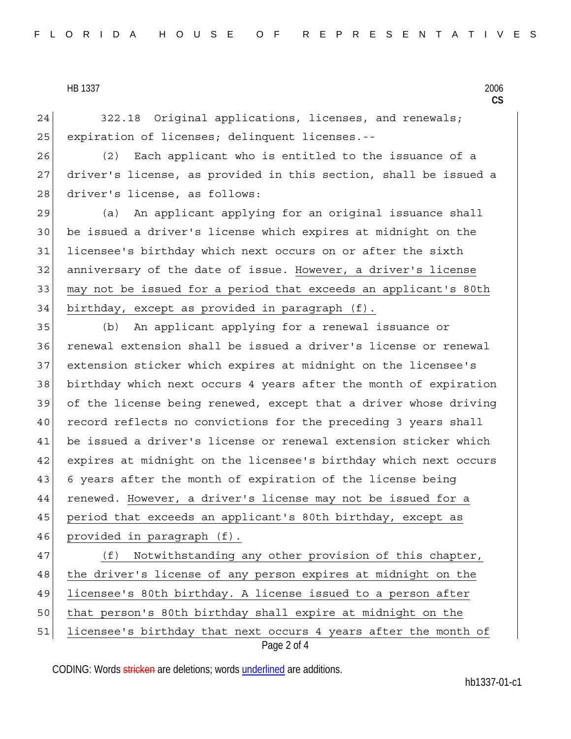24 322.18 Original applications, licenses, and renewals; 25 expiration of licenses; delinquent licenses.--

26 (2) Each applicant who is entitled to the issuance of a 27 driver's license, as provided in this section, shall be issued a 28 driver's license, as follows:

29 (a) An applicant applying for an original issuance shall 30 be issued a driver's license which expires at midnight on the 31 licensee's birthday which next occurs on or after the sixth 32 anniversary of the date of issue. However, a driver's license 33 may not be issued for a period that exceeds an applicant's 80th 34 birthday, except as provided in paragraph (f).

35 (b) An applicant applying for a renewal issuance or 36 renewal extension shall be issued a driver's license or renewal 37 extension sticker which expires at midnight on the licensee's 38 birthday which next occurs 4 years after the month of expiration 39 of the license being renewed, except that a driver whose driving 40 record reflects no convictions for the preceding 3 years shall 41 be issued a driver's license or renewal extension sticker which 42 expires at midnight on the licensee's birthday which next occurs 43 6 years after the month of expiration of the license being 44 renewed. However, a driver's license may not be issued for a 45 period that exceeds an applicant's 80th birthday, except as 46 provided in paragraph (f).

Page 2 of 4 47 (f) Notwithstanding any other provision of this chapter, 48 | the driver's license of any person expires at midnight on the 49 licensee's 80th birthday. A license issued to a person after 50 that person's 80th birthday shall expire at midnight on the 51 licensee's birthday that next occurs 4 years after the month of

CODING: Words stricken are deletions; words underlined are additions.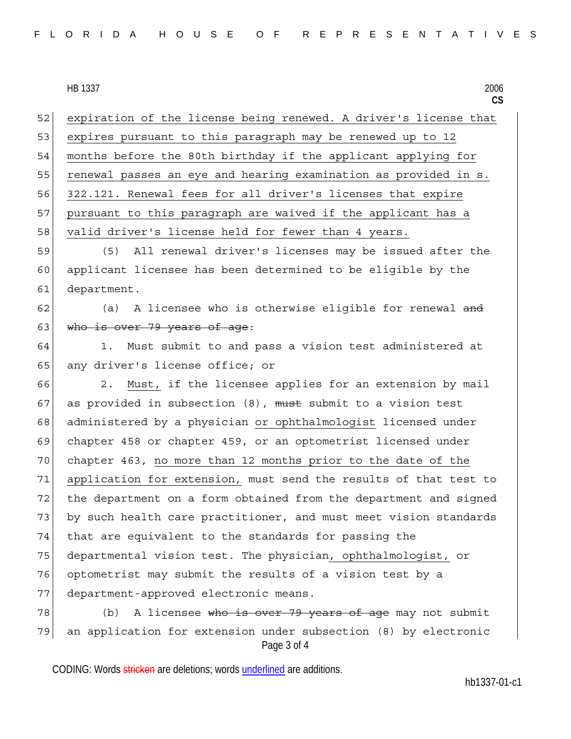52 expiration of the license being renewed. A driver's license that 53 expires pursuant to this paragraph may be renewed up to 12 54 months before the 80th birthday if the applicant applying for 55 renewal passes an eye and hearing examination as provided in s. 56 322.121. Renewal fees for all driver's licenses that expire 57 pursuant to this paragraph are waived if the applicant has a 58 valid driver's license held for fewer than 4 years. 59 (5) All renewal driver's licenses may be issued after the

60 applicant licensee has been determined to be eligible by the 61 department.

 $62$  (a) A licensee who is otherwise eligible for renewal and 63 who is over 79 years of age:

64 1. Must submit to and pass a vision test administered at 65 any driver's license office; or

66 2. Must, if the licensee applies for an extension by mail 67 as provided in subsection  $(8)$ , must submit to a vision test 68 administered by a physician or ophthalmologist licensed under 69 chapter 458 or chapter 459, or an optometrist licensed under 70 chapter 463, no more than 12 months prior to the date of the 71 application for extension, must send the results of that test to 72 the department on a form obtained from the department and signed 73 by such health care practitioner, and must meet vision standards 74 that are equivalent to the standards for passing the 75 departmental vision test. The physician, ophthalmologist, or 76 optometrist may submit the results of a vision test by a 77 department-approved electronic means.

Page 3 of 4 78 (b) A licensee who is over 79 years of age may not submit 79 an application for extension under subsection (8) by electronic

CODING: Words stricken are deletions; words underlined are additions.